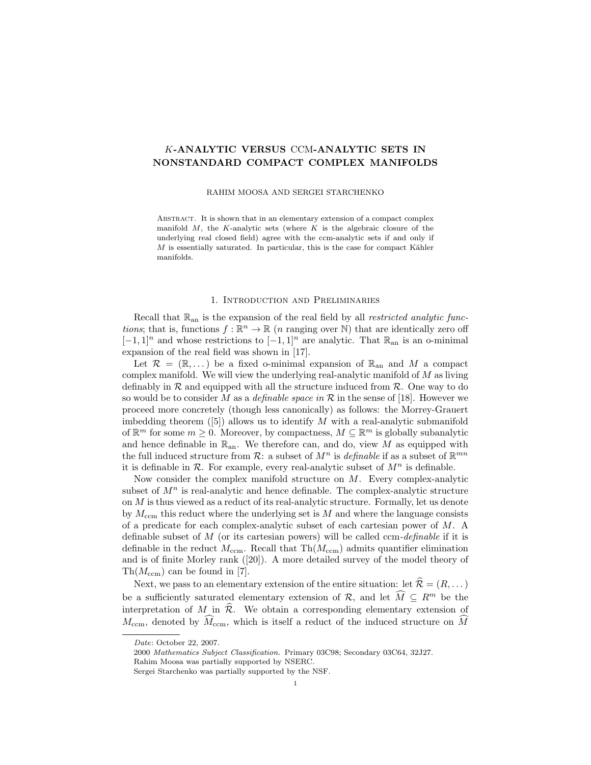# K-ANALYTIC VERSUS CCM-ANALYTIC SETS IN NONSTANDARD COMPACT COMPLEX MANIFOLDS

#### RAHIM MOOSA AND SERGEI STARCHENKO

ABSTRACT. It is shown that in an elementary extension of a compact complex manifold  $M$ , the K-analytic sets (where  $K$  is the algebraic closure of the underlying real closed field) agree with the ccm-analytic sets if and only if  $M$  is essentially saturated. In particular, this is the case for compact Kähler manifolds.

### 1. Introduction and Preliminaries

Recall that  $\mathbb{R}_{\text{an}}$  is the expansion of the real field by all *restricted analytic func*tions; that is, functions  $f : \mathbb{R}^n \to \mathbb{R}$  (*n* ranging over N) that are identically zero off  $[-1, 1]$ <sup>n</sup> and whose restrictions to  $[-1, 1]$ <sup>n</sup> are analytic. That  $\mathbb{R}_{\text{an}}$  is an o-minimal expansion of the real field was shown in [17].

Let  $\mathcal{R} = (\mathbb{R}, \dots)$  be a fixed o-minimal expansion of  $\mathbb{R}_{\text{an}}$  and M a compact complex manifold. We will view the underlying real-analytic manifold of  $M$  as living definably in  $R$  and equipped with all the structure induced from  $R$ . One way to do so would be to consider M as a *definable space in*  $\mathcal R$  in the sense of [18]. However we proceed more concretely (though less canonically) as follows: the Morrey-Grauert imbedding theorem  $([5])$  allows us to identify M with a real-analytic submanifold of  $\mathbb{R}^m$  for some  $m \geq 0$ . Moreover, by compactness,  $M \subseteq \mathbb{R}^m$  is globally subanalytic and hence definable in  $\mathbb{R}_{an}$ . We therefore can, and do, view M as equipped with the full induced structure from  $\mathcal{R}$ : a subset of  $M^n$  is *definable* if as a subset of  $\mathbb{R}^{mn}$ it is definable in  $\mathcal R$ . For example, every real-analytic subset of  $M^n$  is definable.

Now consider the complex manifold structure on M. Every complex-analytic subset of  $M<sup>n</sup>$  is real-analytic and hence definable. The complex-analytic structure on M is thus viewed as a reduct of its real-analytic structure. Formally, let us denote by  $M_{\text{ccm}}$  this reduct where the underlying set is M and where the language consists of a predicate for each complex-analytic subset of each cartesian power of M. A definable subset of  $M$  (or its cartesian powers) will be called ccm-*definable* if it is definable in the reduct  $M_{\text{ccm}}$ . Recall that  $\text{Th}(M_{\text{ccm}})$  admits quantifier elimination and is of finite Morley rank ([20]). A more detailed survey of the model theory of  $\text{Th}(M_{\text{ccm}})$  can be found in [7].

Next, we pass to an elementary extension of the entire situation: let  $\hat{\mathcal{R}} = (R, \dots)$ be a sufficiently saturated elementary extension of  $\mathcal{R}$ , and let  $\widehat{M} \subseteq R^m$  be the interpretation of M in  $\hat{\mathcal{R}}$ . We obtain a corresponding elementary extension of  $M_{\text{ccm}}$ , denoted by  $\widehat{M}_{\text{ccm}}$ , which is itself a reduct of the induced structure on M

Date: October 22, 2007.

<sup>2000</sup> Mathematics Subject Classification. Primary 03C98; Secondary 03C64, 32J27.

Rahim Moosa was partially supported by NSERC.

Sergei Starchenko was partially supported by the NSF.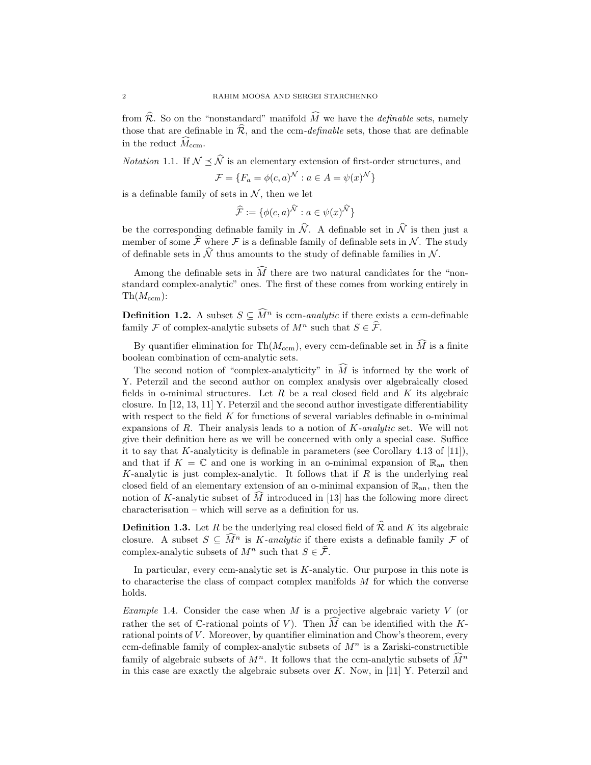from  $\widehat{\mathcal{R}}$ . So on the "nonstandard" manifold  $\widehat{M}$  we have the *definable* sets, namely those that are definable in  $\hat{\mathcal{R}}$ , and the ccm-*definable* sets, those that are definable in the reduct  $\widehat{M}_{\text{ccm}}$ .

*Notation* 1.1. If  $\mathcal{N} \preceq \widehat{\mathcal{N}}$  is an elementary extension of first-order structures, and

$$
\mathcal{F} = \{F_a = \phi(c, a)^{\mathcal{N}} : a \in A = \psi(x)^{\mathcal{N}}\}
$$

is a definable family of sets in  $N$ , then we let

$$
\widehat{\mathcal{F}} := \{ \phi(c, a)^{\widehat{\mathcal{N}}} : a \in \psi(x)^{\widehat{\mathcal{N}}} \}
$$

be the corresponding definable family in  $\widehat{\mathcal{N}}$ . A definable set in  $\widehat{\mathcal{N}}$  is then just a member of some  $\hat{\mathcal{F}}$  where  $\mathcal F$  is a definable family of definable sets in N. The study of definable sets in  $\hat{N}$  thus amounts to the study of definable families in N.

Among the definable sets in  $\widehat{M}$  there are two natural candidates for the "nonstandard complex-analytic" ones. The first of these comes from working entirely in  $\text{Th}(M_{\text{ccm}})$ :

**Definition 1.2.** A subset  $S \subseteq \widehat{M}^n$  is ccm-analytic if there exists a ccm-definable family F of complex-analytic subsets of  $M^n$  such that  $S \in \widehat{\mathcal{F}}$ .

By quantifier elimination for Th( $M_{\text{ccm}}$ ), every ccm-definable set in  $\widehat{M}$  is a finite boolean combination of ccm-analytic sets.

The second notion of "complex-analyticity" in  $\widehat{M}$  is informed by the work of Y. Peterzil and the second author on complex analysis over algebraically closed fields in o-minimal structures. Let  $R$  be a real closed field and  $K$  its algebraic closure. In [12, 13, 11] Y. Peterzil and the second author investigate differentiability with respect to the field  $K$  for functions of several variables definable in o-minimal expansions of R. Their analysis leads to a notion of  $K$ -analytic set. We will not give their definition here as we will be concerned with only a special case. Suffice it to say that K-analyticity is definable in parameters (see Corollary 4.13 of [11]), and that if  $K = \mathbb{C}$  and one is working in an o-minimal expansion of  $\mathbb{R}_{an}$  then K-analytic is just complex-analytic. It follows that if  $R$  is the underlying real closed field of an elementary extension of an o-minimal expansion of  $\mathbb{R}_{an}$ , then the notion of K-analytic subset of  $\tilde{M}$  introduced in [13] has the following more direct characterisation – which will serve as a definition for us.

**Definition 1.3.** Let R be the underlying real closed field of  $\widehat{\mathcal{R}}$  and K its algebraic closure. A subset  $S \subseteq \widehat{M}^n$  is K-analytic if there exists a definable family F of complex-analytic subsets of  $M^n$  such that  $S \in \widehat{\mathcal{F}}$ .

In particular, every ccm-analytic set is  $K$ -analytic. Our purpose in this note is to characterise the class of compact complex manifolds  $M$  for which the converse holds.

Example 1.4. Consider the case when  $M$  is a projective algebraic variety  $V$  (or rather the set of C-rational points of V). Then  $\tilde{M}$  can be identified with the Krational points of  $V$ . Moreover, by quantifier elimination and Chow's theorem, every ccm-definable family of complex-analytic subsets of  $M<sup>n</sup>$  is a Zariski-constructible family of algebraic subsets of  $M^n$ . It follows that the ccm-analytic subsets of  $\widehat{M}^n$ in this case are exactly the algebraic subsets over  $K$ . Now, in [11] Y. Peterzil and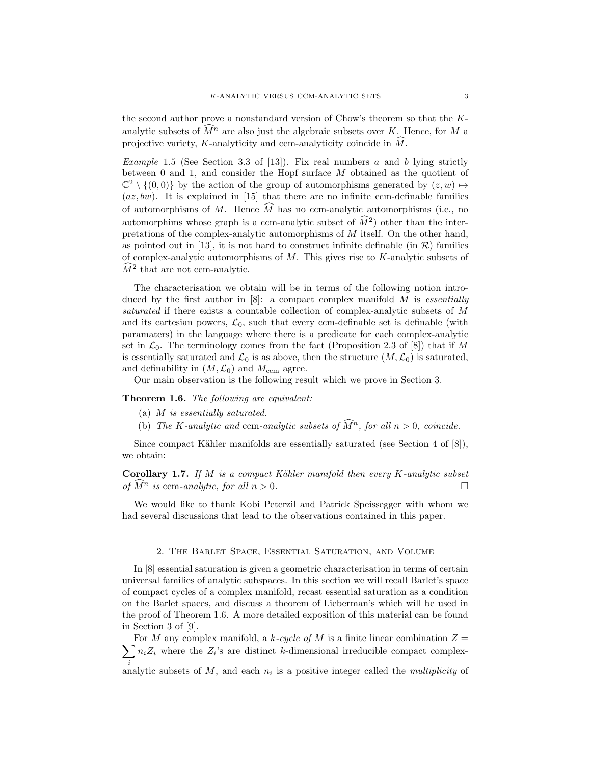the second author prove a nonstandard version of Chow's theorem so that the Kanalytic subsets of  $\widehat{M}^n$  are also just the algebraic subsets over K. Hence, for M a projective variety, K-analyticity and ccm-analyticity coincide in  $\widehat{M}$ .

Example 1.5 (See Section 3.3 of [13]). Fix real numbers a and b lying strictly between 0 and 1, and consider the Hopf surface M obtained as the quotient of  $\mathbb{C}^2 \setminus \{(0,0)\}\$ by the action of the group of automorphisms generated by  $(z,w) \mapsto$  $(az, bw)$ . It is explained in [15] that there are no infinite ccm-definable families of automorphisms of M. Hence  $\widehat{M}$  has no ccm-analytic automorphisms (i.e., no automorphims whose graph is a ccm-analytic subset of  $\widehat{M}^2$  other than the interpretations of the complex-analytic automorphisms of M itself. On the other hand, as pointed out in [13], it is not hard to construct infinite definable (in  $\mathcal{R}$ ) families of complex-analytic automorphisms of  $M$ . This gives rise to  $K$ -analytic subsets of  $\widehat{M}^2$  that are not ccm-analytic.

The characterisation we obtain will be in terms of the following notion introduced by the first author in  $[8]$ : a compact complex manifold M is essentially saturated if there exists a countable collection of complex-analytic subsets of M and its cartesian powers,  $\mathcal{L}_0$ , such that every ccm-definable set is definable (with paramaters) in the language where there is a predicate for each complex-analytic set in  $\mathcal{L}_0$ . The terminology comes from the fact (Proposition 2.3 of [8]) that if M is essentially saturated and  $\mathcal{L}_0$  is as above, then the structure  $(M, \mathcal{L}_0)$  is saturated, and definability in  $(M, \mathcal{L}_0)$  and  $M_{\text{ccm}}$  agree.

Our main observation is the following result which we prove in Section 3.

Theorem 1.6. The following are equivalent:

- (a) M is essentially saturated.
- (b) The K-analytic and ccm-analytic subsets of  $\widehat{M}^n$ , for all  $n > 0$ , coincide.

Since compact Kähler manifolds are essentially saturated (see Section 4 of  $[8]$ ), we obtain:

**Corollary 1.7.** If M is a compact Kähler manifold then every K-analytic subset of  $M^n$  is ccm-analytic, for all  $n > 0$ .

We would like to thank Kobi Peterzil and Patrick Speissegger with whom we had several discussions that lead to the observations contained in this paper.

## 2. The Barlet Space, Essential Saturation, and Volume

In [8] essential saturation is given a geometric characterisation in terms of certain universal families of analytic subspaces. In this section we will recall Barlet's space of compact cycles of a complex manifold, recast essential saturation as a condition on the Barlet spaces, and discuss a theorem of Lieberman's which will be used in the proof of Theorem 1.6. A more detailed exposition of this material can be found in Section 3 of [9].

 $\sum n_i Z_i$  where the  $Z_i$ 's are distinct k-dimensional irreducible compact complex-For M any complex manifold, a k-cycle of M is a finite linear combination  $Z =$ identify in analytic subsets of M, and each  $n_i$  is a positive integer called the *multiplicity* of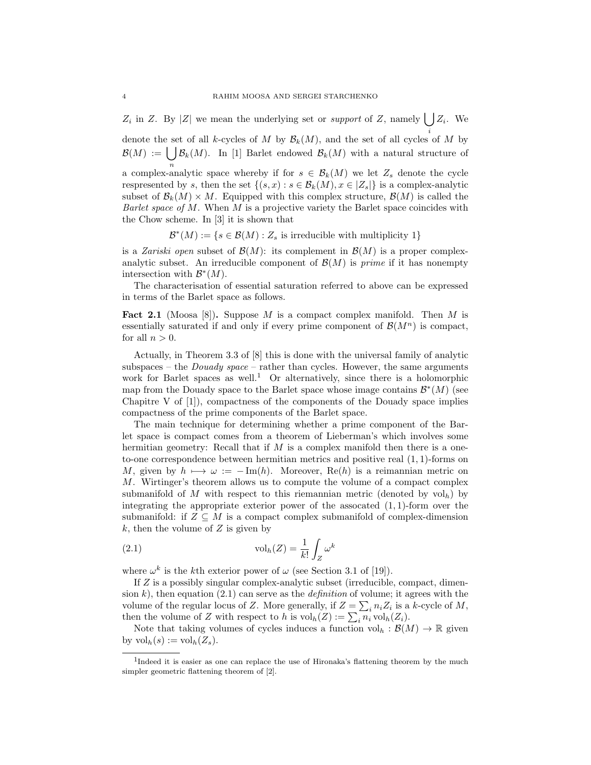$Z_i$  in Z. By |Z| we mean the underlying set or *support* of Z, namely  $\bigcup Z_i$ . We

denote the set of all k-cycles of M by  $\mathcal{B}_k(M)$ , and the set of all cycles of M by  $\mathcal{B}(M) := \bigcup \mathcal{B}_k(M)$ . In [1] Barlet endowed  $\mathcal{B}_k(M)$  with a natural structure of a complex-analytic space whereby if for  $s \in \mathcal{B}_k(M)$  we let  $Z_s$  denote the cycle respresented by s, then the set  $\{(s, x) : s \in \mathcal{B}_k(M), x \in |Z_s|\}$  is a complex-analytic subset of  $\mathcal{B}_k(M) \times M$ . Equipped with this complex structure,  $\mathcal{B}(M)$  is called the Barlet space of  $M$ . When  $M$  is a projective variety the Barlet space coincides with the Chow scheme. In [3] it is shown that

$$
\mathcal{B}^*(M) := \{ s \in \mathcal{B}(M) : Z_s \text{ is irreducible with multiplicity } 1 \}
$$

is a Zariski open subset of  $\mathcal{B}(M)$ : its complement in  $\mathcal{B}(M)$  is a proper complexanalytic subset. An irreducible component of  $\mathcal{B}(M)$  is *prime* if it has nonempty intersection with  $\mathcal{B}^*(M)$ .

The characterisation of essential saturation referred to above can be expressed in terms of the Barlet space as follows.

**Fact 2.1** (Moosa [8]). Suppose M is a compact complex manifold. Then M is essentially saturated if and only if every prime component of  $\mathcal{B}(M^n)$  is compact, for all  $n > 0$ .

Actually, in Theorem 3.3 of [8] this is done with the universal family of analytic subspaces – the *Douady space* – rather than cycles. However, the same arguments work for Barlet spaces as well.<sup>1</sup> Or alternatively, since there is a holomorphic map from the Douady space to the Barlet space whose image contains  $\mathcal{B}^*(M)$  (see Chapitre V of [1]), compactness of the components of the Douady space implies compactness of the prime components of the Barlet space.

The main technique for determining whether a prime component of the Barlet space is compact comes from a theorem of Lieberman's which involves some hermitian geometry: Recall that if  $M$  is a complex manifold then there is a oneto-one correspondence between hermitian metrics and positive real (1, 1)-forms on M, given by  $h \mapsto \omega := -\text{Im}(h)$ . Moreover, Re(h) is a reimannian metric on M. Wirtinger's theorem allows us to compute the volume of a compact complex submanifold of M with respect to this riemannian metric (denoted by  $vol<sub>h</sub>$ ) by integrating the appropriate exterior power of the assocated  $(1, 1)$ -form over the submanifold: if  $Z \subseteq M$  is a compact complex submanifold of complex-dimension  $k$ , then the volume of  $Z$  is given by

(2.1) 
$$
\operatorname{vol}_h(Z) = \frac{1}{k!} \int_Z \omega^k
$$

where  $\omega^k$  is the kth exterior power of  $\omega$  (see Section 3.1 of [19]).

If Z is a possibly singular complex-analytic subset (irreducible, compact, dimension k), then equation (2.1) can serve as the *definition* of volume; it agrees with the volume of the regular locus of Z. More generally, if  $Z = \sum_i n_i Z_i$  is a k-cycle of M, then the volume of Z with respect to h is  $\mathrm{vol}_h(Z) := \sum_i n_i \mathrm{vol}_h(Z_i)$ .

Note that taking volumes of cycles induces a function  $\mathrm{vol}_h : \mathcal{B}(M) \to \mathbb{R}$  given by  $\mathrm{vol}_h(s) := \mathrm{vol}_h(Z_s)$ .

<sup>&</sup>lt;sup>1</sup>Indeed it is easier as one can replace the use of Hironaka's flattening theorem by the much simpler geometric flattening theorem of [2].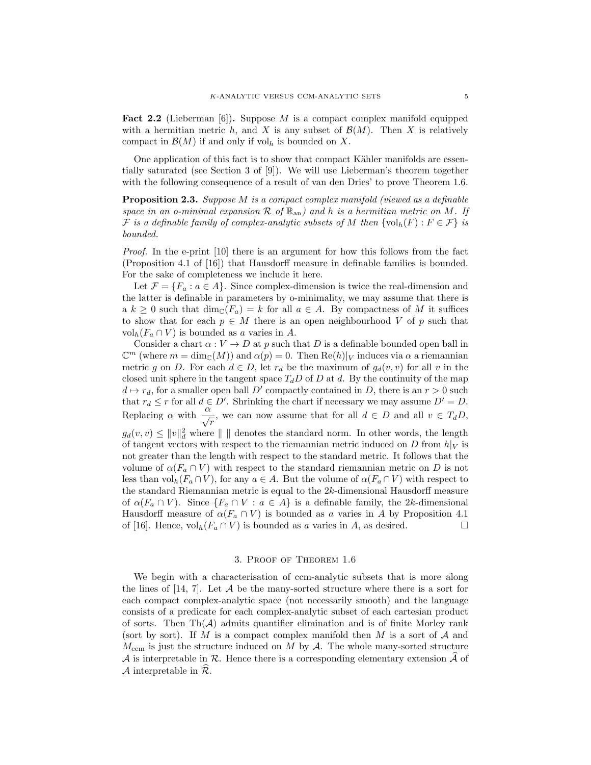**Fact 2.2** (Lieberman [6]). Suppose M is a compact complex manifold equipped with a hermitian metric h, and X is any subset of  $\mathcal{B}(M)$ . Then X is relatively compact in  $\mathcal{B}(M)$  if and only if vol<sub>h</sub> is bounded on X.

One application of this fact is to show that compact Kähler manifolds are essentially saturated (see Section 3 of [9]). We will use Lieberman's theorem together with the following consequence of a result of van den Dries' to prove Theorem 1.6.

Proposition 2.3. Suppose M is a compact complex manifold (viewed as a definable space in an o-minimal expansion  $\mathcal R$  of  $\mathbb R_{\rm an}$ ) and h is a hermitian metric on M. If F is a definable family of complex-analytic subsets of M then  $\{vol_h(F) : F \in \mathcal{F}\}\$ is bounded.

Proof. In the e-print [10] there is an argument for how this follows from the fact (Proposition 4.1 of [16]) that Hausdorff measure in definable families is bounded. For the sake of completeness we include it here.

Let  $\mathcal{F} = \{F_a : a \in A\}$ . Since complex-dimension is twice the real-dimension and the latter is definable in parameters by o-minimality, we may assume that there is a  $k \geq 0$  such that  $\dim_{\mathbb{C}}(F_a) = k$  for all  $a \in A$ . By compactness of M it suffices to show that for each  $p \in M$  there is an open neighbourhood V of p such that  $\mathrm{vol}_h(F_a \cap V)$  is bounded as a varies in A.

Consider a chart  $\alpha: V \to D$  at p such that D is a definable bounded open ball in  $\mathbb{C}^m$  (where  $m = \dim_{\mathbb{C}}(M)$ ) and  $\alpha(p) = 0$ . Then  $\text{Re}(h)|_V$  induces via  $\alpha$  a riemannian metric g on D. For each  $d \in D$ , let  $r_d$  be the maximum of  $g_d(v, v)$  for all v in the closed unit sphere in the tangent space  $T_dD$  of D at d. By the continuity of the map  $d \mapsto r_d$ , for a smaller open ball D' compactly contained in D, there is an  $r > 0$  such that  $r_d \leq r$  for all  $d \in D'$ . Shrinking the chart if necessary we may assume  $D' = D$ . Replacing  $\alpha$  with  $\frac{\alpha}{\sqrt{r}}$ , we can now assume that for all  $d \in D$  and all  $v \in T_dD$ ,  $g_d(v, v) \leq ||v||_d^2$  where  $|| \cdot ||$  denotes the standard norm. In other words, the length of tangent vectors with respect to the riemannian metric induced on D from  $h|_V$  is not greater than the length with respect to the standard metric. It follows that the volume of  $\alpha(F_a \cap V)$  with respect to the standard riemannian metric on D is not less than  $vol_h(F_a \cap V)$ , for any  $a \in A$ . But the volume of  $\alpha(F_a \cap V)$  with respect to the standard Riemannian metric is equal to the  $2k$ -dimensional Hausdorff measure of  $\alpha(F_a \cap V)$ . Since  $\{F_a \cap V : a \in A\}$  is a definable family, the 2k-dimensional Hausdorff measure of  $\alpha(F_a \cap V)$  is bounded as a varies in A by Proposition 4.1 of [16]. Hence,  $\text{vol}_h(F_a \cap V)$  is bounded as a varies in A, as desired.

### 3. Proof of Theorem 1.6

We begin with a characterisation of ccm-analytic subsets that is more along the lines of  $[14, 7]$ . Let A be the many-sorted structure where there is a sort for each compact complex-analytic space (not necessarily smooth) and the language consists of a predicate for each complex-analytic subset of each cartesian product of sorts. Then  $\text{Th}(\mathcal{A})$  admits quantifier elimination and is of finite Morley rank (sort by sort). If M is a compact complex manifold then M is a sort of  $A$  and  $M_{\text{ccm}}$  is just the structure induced on M by A. The whole many-sorted structure A is interpretable in R. Hence there is a corresponding elementary extension  $\widehat{\mathcal{A}}$  of A interpretable in  $\mathcal{R}$ .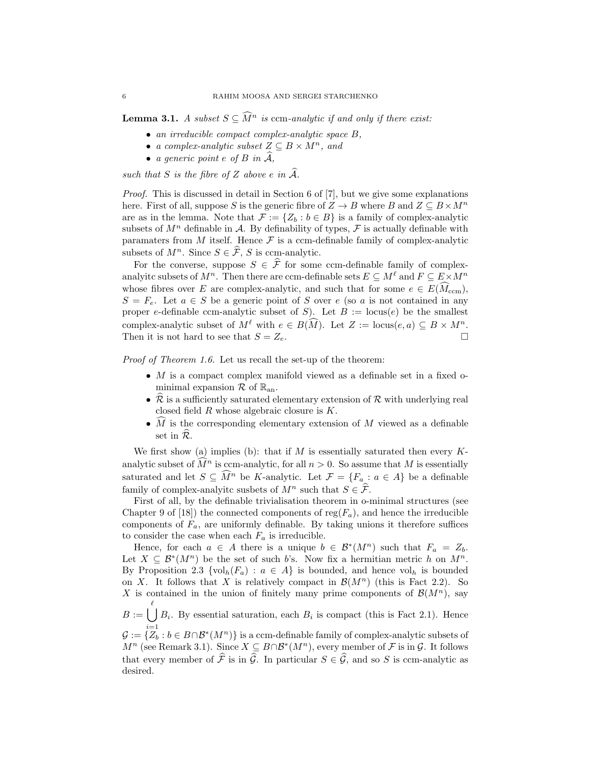**Lemma 3.1.** A subset  $S \subseteq \widehat{M}^n$  is ccm-analytic if and only if there exist:

- an irreducible compact complex-analytic space B,
- a complex-analytic subset  $Z \subseteq B \times M^n$ , and
- a generic point  $e$  of  $B$  in  $\mathcal{A},$

such that S is the fibre of Z above e in  $\widehat{A}$ .

Proof. This is discussed in detail in Section 6 of [7], but we give some explanations here. First of all, suppose S is the generic fibre of  $Z \to B$  where B and  $Z \subseteq B \times M^n$ are as in the lemma. Note that  $\mathcal{F} := \{Z_b : b \in B\}$  is a family of complex-analytic subsets of  $M^n$  definable in A. By definability of types, F is actually definable with paramaters from  $M$  itself. Hence  $\mathcal F$  is a ccm-definable family of complex-analytic subsets of  $M^n$ . Since  $S \in \widehat{\mathcal{F}}$ , S is ccm-analytic.

For the converse, suppose  $S \in \hat{\mathcal{F}}$  for some ccm-definable family of complexanalyitc subsets of  $M^n$ . Then there are ccm-definable sets  $E \subseteq M^{\ell}$  and  $F \subseteq E \times M^n$ whose fibres over E are complex-analytic, and such that for some  $e \in E(M_{\text{ccm}})$ ,  $S = F_e$ . Let  $a \in S$  be a generic point of S over e (so a is not contained in any proper e-definable ccm-analytic subset of S). Let  $B := \text{locus}(e)$  be the smallest complex-analytic subset of  $M^\ell$  with  $e \in B(\widehat{M})$ . Let  $Z := \text{locus}(e, a) \subseteq B \times M^n$ .<br>Then it is not hard to see that  $S = Z_e$ . Then it is not hard to see that  $S = Z_e$ .

Proof of Theorem 1.6. Let us recall the set-up of the theorem:

- $M$  is a compact complex manifold viewed as a definable set in a fixed ominimal expansion  $\mathcal R$  of  $\mathbb{R}_{an}$ .
- $\mathcal R$  is a sufficiently saturated elementary extension of  $\mathcal R$  with underlying real closed field  $R$  whose algebraic closure is  $K$ .
- $\hat{M}$  is the corresponding elementary extension of M viewed as a definable set in  $\widehat{\mathcal{R}}$ .

We first show (a) implies (b): that if  $M$  is essentially saturated then every  $K$ analytic subset of  $\widehat{M}^n$  is ccm-analytic, for all  $n > 0$ . So assume that M is essentially saturated and let  $S \subseteq \widehat{M}^n$  be K-analytic. Let  $\mathcal{F} = \{F_a : a \in A\}$  be a definable family of complex-analyitc susbets of  $M^n$  such that  $S \in \widehat{\mathcal{F}}$ .

First of all, by the definable trivialisation theorem in o-minimal structures (see Chapter 9 of [18]) the connected components of reg $(F_a)$ , and hence the irreducible components of  $F_a$ , are uniformly definable. By taking unions it therefore suffices to consider the case when each  $F_a$  is irreducible.

Hence, for each  $a \in A$  there is a unique  $b \in \mathcal{B}^*(M^n)$  such that  $F_a = Z_b$ . Let  $X \subseteq \mathcal{B}^*(M^n)$  be the set of such b's. Now fix a hermitian metric h on  $M^n$ . By Proposition 2.3 { $vol_h(F_a)$ :  $a \in A$ } is bounded, and hence  $vol_h$  is bounded on X. It follows that X is relatively compact in  $\mathcal{B}(M^n)$  (this is Fact 2.2). So X is contained in the union of finitely many prime components of  $\mathcal{B}(M^n)$ , say

 $B := \begin{pmatrix} \ell \\ \end{pmatrix}$  $B_i$ . By essential saturation, each  $B_i$  is compact (this is Fact 2.1). Hence

 $\mathcal{G}:=\{\overline{Z}_b: b\in B\cap \mathcal{B}^*(M^n)\}$  is a ccm-definable family of complex-analytic subsets of  $M^n$  (see Remark 3.1). Since  $X \subseteq B \cap \mathcal{B}^*(M^n)$ , every member of  $\mathcal F$  is in  $\mathcal G$ . It follows that every member of  $\hat{\mathcal{F}}$  is in  $\hat{\mathcal{G}}$ . In particular  $S \in \hat{\mathcal{G}}$ , and so S is ccm-analytic as desired.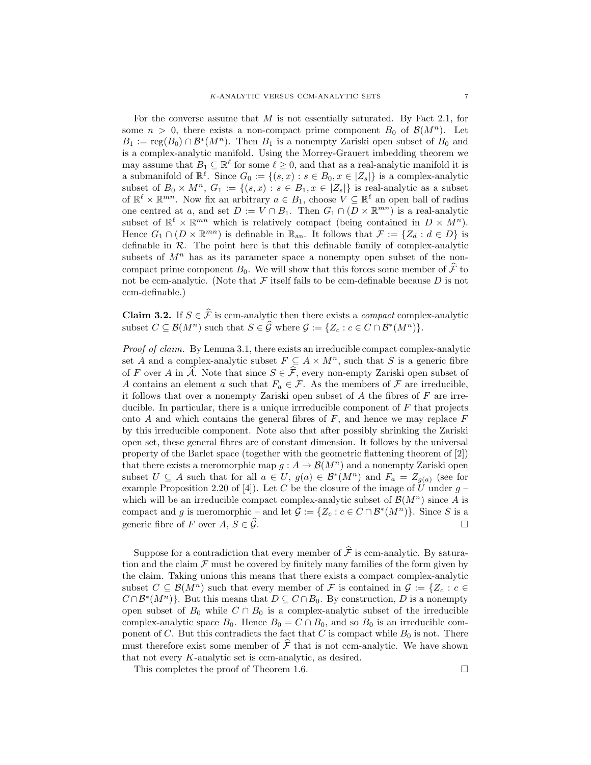For the converse assume that  $M$  is not essentially saturated. By Fact 2.1, for some  $n > 0$ , there exists a non-compact prime component  $B_0$  of  $\mathcal{B}(M^n)$ . Let  $B_1 := \text{reg}(B_0) \cap \mathcal{B}^*(M^n)$ . Then  $B_1$  is a nonempty Zariski open subset of  $B_0$  and is a complex-analytic manifold. Using the Morrey-Grauert imbedding theorem we may assume that  $B_1 \subseteq \mathbb{R}^{\ell}$  for some  $\ell \geq 0$ , and that as a real-analytic manifold it is a submanifold of  $\mathbb{R}^{\ell}$ . Since  $G_0 := \{(s, x) : s \in B_0, x \in |Z_s|\}$  is a complex-analytic subset of  $B_0 \times M^n$ ,  $G_1 := \{(s, x) : s \in B_1, x \in |Z_s|\}$  is real-analytic as a subset of  $\mathbb{R}^{\ell} \times \mathbb{R}^{mn}$ . Now fix an arbitrary  $a \in B_1$ , choose  $V \subseteq \mathbb{R}^{\ell}$  an open ball of radius one centred at a, and set  $D := V \cap B_1$ . Then  $G_1 \cap (D \times \mathbb{R}^{mn})$  is a real-analytic subset of  $\mathbb{R}^{\ell} \times \mathbb{R}^{mn}$  which is relatively compact (being contained in  $D \times M^n$ ). Hence  $G_1 \cap (D \times \mathbb{R}^{mn})$  is definable in  $\mathbb{R}_{\text{an}}$ . It follows that  $\mathcal{F} := \{Z_d : d \in D\}$  is definable in  $R$ . The point here is that this definable family of complex-analytic subsets of  $M<sup>n</sup>$  has as its parameter space a nonempty open subset of the noncompact prime component  $B_0$ . We will show that this forces some member of  $\mathcal F$  to not be ccm-analytic. (Note that  $\mathcal F$  itself fails to be ccm-definable because  $D$  is not ccm-definable.)

**Claim 3.2.** If  $S \in \hat{\mathcal{F}}$  is ccm-analytic then there exists a *compact* complex-analytic subset  $C \subseteq \mathcal{B}(M^n)$  such that  $S \in \widehat{\mathcal{G}}$  where  $\mathcal{G} := \{Z_c : c \in C \cap \mathcal{B}^*(M^n)\}.$ 

Proof of claim. By Lemma 3.1, there exists an irreducible compact complex-analytic set A and a complex-analytic subset  $F \subseteq A \times M^n$ , such that S is a generic fibre of F over A in  $\widehat{A}$ . Note that since  $S \in \widehat{\mathcal{F}}$ , every non-empty Zariski open subset of A contains an element a such that  $F_a \in \mathcal{F}$ . As the members of  $\mathcal F$  are irreducible, it follows that over a nonempty Zariski open subset of  $A$  the fibres of  $F$  are irreducible. In particular, there is a unique irrreducible component of  $F$  that projects onto  $A$  and which contains the general fibres of  $F$ , and hence we may replace  $F$ by this irreducible component. Note also that after possibly shrinking the Zariski open set, these general fibres are of constant dimension. It follows by the universal property of the Barlet space (together with the geometric flattening theorem of [2]) that there exists a meromorphic map  $g : A \to \mathcal{B}(M^n)$  and a nonempty Zariski open subset  $U \subseteq A$  such that for all  $a \in U$ ,  $g(a) \in \mathcal{B}^*(M^n)$  and  $F_a = Z_{g(a)}$  (see for example Proposition 2.20 of [4]). Let C be the closure of the image of  $\hat{U}$  under  $g$  – which will be an irreducible compact complex-analytic subset of  $\mathcal{B}(M^n)$  since A is compact and g is meromorphic – and let  $\mathcal{G} := \{Z_c : c \in C \cap \mathcal{B}^*(M^n)\}\.$  Since S is a generic fibre of F over  $A, S \in \mathcal{G}$ .

Suppose for a contradiction that every member of  $\hat{\mathcal{F}}$  is ccm-analytic. By saturation and the claim  $\mathcal F$  must be covered by finitely many families of the form given by the claim. Taking unions this means that there exists a compact complex-analytic subset  $C \subseteq \mathcal{B}(M^n)$  such that every member of F is contained in  $\mathcal{G} := \{Z_c : c \in$  $C \cap \mathcal{B}^*(M^n)$ . But this means that  $D \subseteq C \cap B_0$ . By construction, D is a nonempty open subset of  $B_0$  while  $C \cap B_0$  is a complex-analytic subset of the irreducible complex-analytic space  $B_0$ . Hence  $B_0 = C \cap B_0$ , and so  $B_0$  is an irreducible component of C. But this contradicts the fact that C is compact while  $B_0$  is not. There must therefore exist some member of  $\mathcal{F}$  that is not ccm-analytic. We have shown that not every K-analytic set is ccm-analytic, as desired.

This completes the proof of Theorem 1.6.